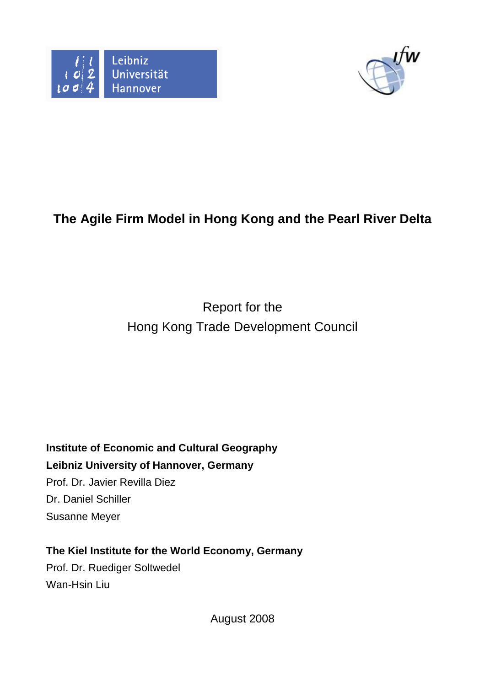



# **The Agile Firm Model in Hong Kong and the Pearl River Delta**

# Report for the Hong Kong Trade Development Council

**Institute of Economic and Cultural Geography Leibniz University of Hannover, Germany**  Prof. Dr. Javier Revilla Diez Dr. Daniel Schiller Susanne Meyer

**The Kiel Institute for the World Economy, Germany**  Prof. Dr. Ruediger Soltwedel Wan-Hsin Liu

August 2008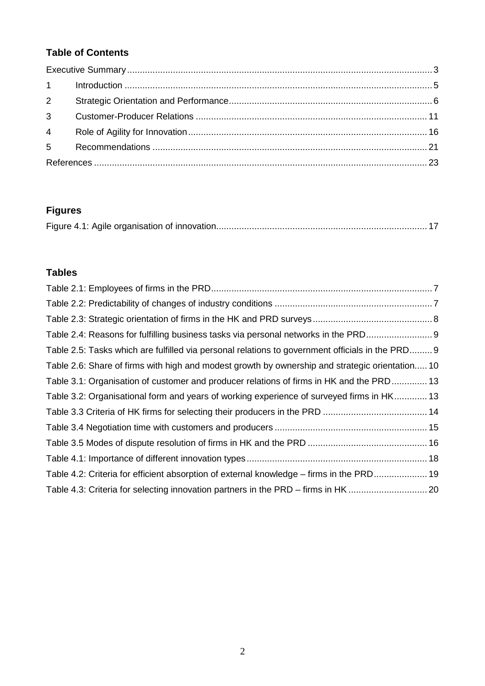## **Table of Contents**

| $3^{\circ}$ |  |
|-------------|--|
|             |  |
|             |  |
|             |  |

## **Figures**

|--|

### **Tables**

| Table 2.4: Reasons for fulfilling business tasks via personal networks in the PRD                |  |
|--------------------------------------------------------------------------------------------------|--|
| Table 2.5: Tasks which are fulfilled via personal relations to government officials in the PRD 9 |  |
| Table 2.6: Share of firms with high and modest growth by ownership and strategic orientation 10  |  |
| Table 3.1: Organisation of customer and producer relations of firms in HK and the PRD 13         |  |
| Table 3.2: Organisational form and years of working experience of surveyed firms in HK 13        |  |
|                                                                                                  |  |
|                                                                                                  |  |
|                                                                                                  |  |
|                                                                                                  |  |
| Table 4.2: Criteria for efficient absorption of external knowledge – firms in the PRD 19         |  |
|                                                                                                  |  |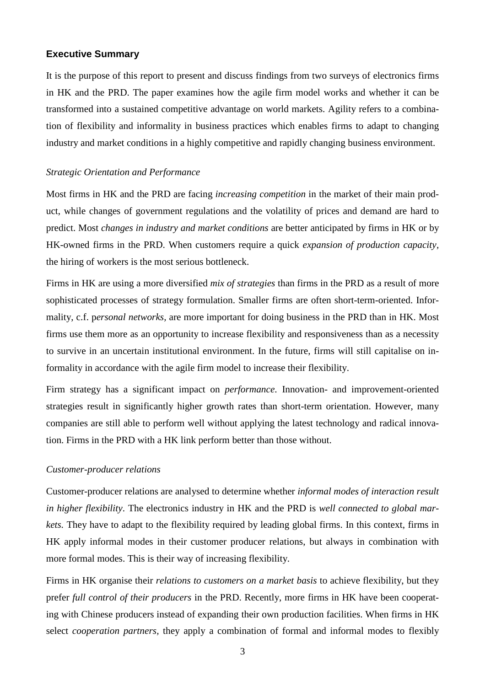#### **Executive Summary**

It is the purpose of this report to present and discuss findings from two surveys of electronics firms in HK and the PRD. The paper examines how the agile firm model works and whether it can be transformed into a sustained competitive advantage on world markets. Agility refers to a combination of flexibility and informality in business practices which enables firms to adapt to changing industry and market conditions in a highly competitive and rapidly changing business environment.

#### *Strategic Orientation and Performance*

Most firms in HK and the PRD are facing *increasing competition* in the market of their main product, while changes of government regulations and the volatility of prices and demand are hard to predict. Most *changes in industry and market conditions* are better anticipated by firms in HK or by HK-owned firms in the PRD. When customers require a quick *expansion of production capacity,*  the hiring of workers is the most serious bottleneck.

Firms in HK are using a more diversified *mix of strategies* than firms in the PRD as a result of more sophisticated processes of strategy formulation. Smaller firms are often short-term-oriented. Informality, c.f. p*ersonal networks,* are more important for doing business in the PRD than in HK. Most firms use them more as an opportunity to increase flexibility and responsiveness than as a necessity to survive in an uncertain institutional environment. In the future, firms will still capitalise on informality in accordance with the agile firm model to increase their flexibility.

Firm strategy has a significant impact on *performance*. Innovation- and improvement-oriented strategies result in significantly higher growth rates than short-term orientation. However, many companies are still able to perform well without applying the latest technology and radical innovation. Firms in the PRD with a HK link perform better than those without.

#### *Customer-producer relations*

Customer-producer relations are analysed to determine whether *informal modes of interaction result in higher flexibility*. The electronics industry in HK and the PRD is *well connected to global markets.* They have to adapt to the flexibility required by leading global firms. In this context, firms in HK apply informal modes in their customer producer relations, but always in combination with more formal modes. This is their way of increasing flexibility.

Firms in HK organise their *relations to customers on a market basis* to achieve flexibility, but they prefer *full control of their producers* in the PRD. Recently, more firms in HK have been cooperating with Chinese producers instead of expanding their own production facilities. When firms in HK select *cooperation partners,* they apply a combination of formal and informal modes to flexibly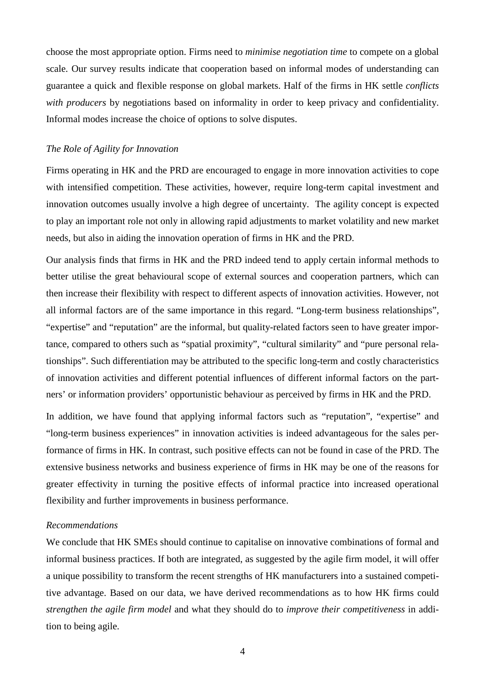choose the most appropriate option. Firms need to *minimise negotiation time* to compete on a global scale. Our survey results indicate that cooperation based on informal modes of understanding can guarantee a quick and flexible response on global markets. Half of the firms in HK settle *conflicts with producers* by negotiations based on informality in order to keep privacy and confidentiality. Informal modes increase the choice of options to solve disputes.

#### *The Role of Agility for Innovation*

Firms operating in HK and the PRD are encouraged to engage in more innovation activities to cope with intensified competition. These activities, however, require long-term capital investment and innovation outcomes usually involve a high degree of uncertainty. The agility concept is expected to play an important role not only in allowing rapid adjustments to market volatility and new market needs, but also in aiding the innovation operation of firms in HK and the PRD.

Our analysis finds that firms in HK and the PRD indeed tend to apply certain informal methods to better utilise the great behavioural scope of external sources and cooperation partners, which can then increase their flexibility with respect to different aspects of innovation activities. However, not all informal factors are of the same importance in this regard. "Long-term business relationships", "expertise" and "reputation" are the informal, but quality-related factors seen to have greater importance, compared to others such as "spatial proximity", "cultural similarity" and "pure personal relationships". Such differentiation may be attributed to the specific long-term and costly characteristics of innovation activities and different potential influences of different informal factors on the partners' or information providers' opportunistic behaviour as perceived by firms in HK and the PRD.

In addition, we have found that applying informal factors such as "reputation", "expertise" and "long-term business experiences" in innovation activities is indeed advantageous for the sales performance of firms in HK. In contrast, such positive effects can not be found in case of the PRD. The extensive business networks and business experience of firms in HK may be one of the reasons for greater effectivity in turning the positive effects of informal practice into increased operational flexibility and further improvements in business performance.

#### *Recommendations*

We conclude that HK SMEs should continue to capitalise on innovative combinations of formal and informal business practices. If both are integrated, as suggested by the agile firm model, it will offer a unique possibility to transform the recent strengths of HK manufacturers into a sustained competitive advantage. Based on our data, we have derived recommendations as to how HK firms could *strengthen the agile firm model* and what they should do to *improve their competitiveness* in addition to being agile.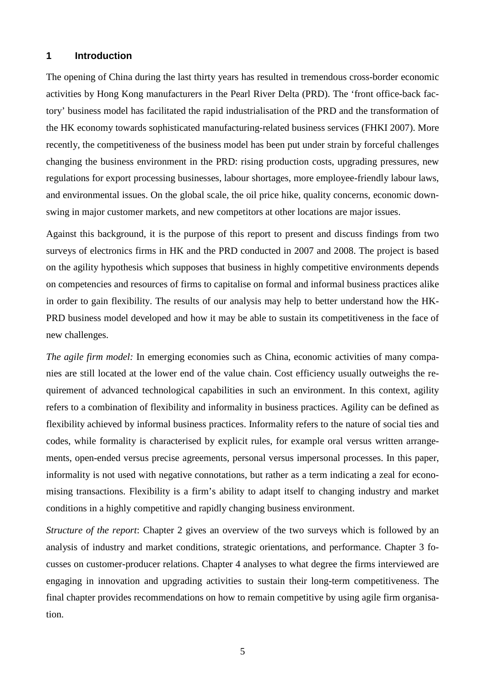#### **1 Introduction**

The opening of China during the last thirty years has resulted in tremendous cross-border economic activities by Hong Kong manufacturers in the Pearl River Delta (PRD). The 'front office-back factory' business model has facilitated the rapid industrialisation of the PRD and the transformation of the HK economy towards sophisticated manufacturing-related business services (FHKI 2007). More recently, the competitiveness of the business model has been put under strain by forceful challenges changing the business environment in the PRD: rising production costs, upgrading pressures, new regulations for export processing businesses, labour shortages, more employee-friendly labour laws, and environmental issues. On the global scale, the oil price hike, quality concerns, economic downswing in major customer markets, and new competitors at other locations are major issues.

Against this background, it is the purpose of this report to present and discuss findings from two surveys of electronics firms in HK and the PRD conducted in 2007 and 2008. The project is based on the agility hypothesis which supposes that business in highly competitive environments depends on competencies and resources of firms to capitalise on formal and informal business practices alike in order to gain flexibility. The results of our analysis may help to better understand how the HK-PRD business model developed and how it may be able to sustain its competitiveness in the face of new challenges.

*The agile firm model:* In emerging economies such as China, economic activities of many companies are still located at the lower end of the value chain. Cost efficiency usually outweighs the requirement of advanced technological capabilities in such an environment. In this context, agility refers to a combination of flexibility and informality in business practices. Agility can be defined as flexibility achieved by informal business practices. Informality refers to the nature of social ties and codes, while formality is characterised by explicit rules, for example oral versus written arrangements, open-ended versus precise agreements, personal versus impersonal processes. In this paper, informality is not used with negative connotations, but rather as a term indicating a zeal for economising transactions. Flexibility is a firm's ability to adapt itself to changing industry and market conditions in a highly competitive and rapidly changing business environment.

*Structure of the report*: Chapter 2 gives an overview of the two surveys which is followed by an analysis of industry and market conditions, strategic orientations, and performance. Chapter 3 focusses on customer-producer relations. Chapter 4 analyses to what degree the firms interviewed are engaging in innovation and upgrading activities to sustain their long-term competitiveness. The final chapter provides recommendations on how to remain competitive by using agile firm organisation.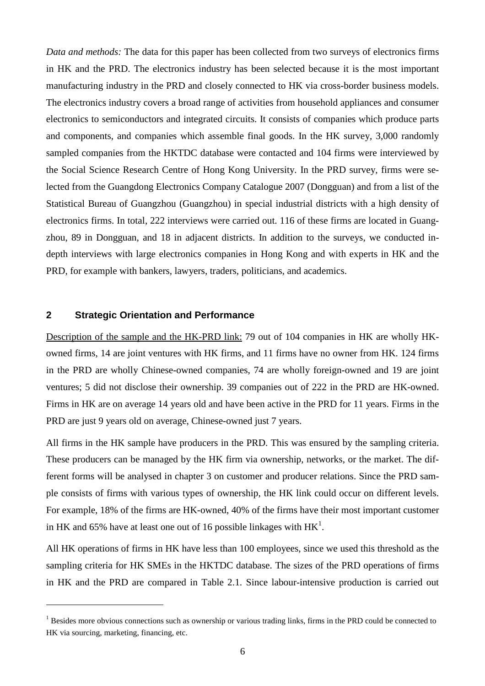*Data and methods:* The data for this paper has been collected from two surveys of electronics firms in HK and the PRD. The electronics industry has been selected because it is the most important manufacturing industry in the PRD and closely connected to HK via cross-border business models. The electronics industry covers a broad range of activities from household appliances and consumer electronics to semiconductors and integrated circuits. It consists of companies which produce parts and components, and companies which assemble final goods. In the HK survey, 3,000 randomly sampled companies from the HKTDC database were contacted and 104 firms were interviewed by the Social Science Research Centre of Hong Kong University. In the PRD survey, firms were selected from the Guangdong Electronics Company Catalogue 2007 (Dongguan) and from a list of the Statistical Bureau of Guangzhou (Guangzhou) in special industrial districts with a high density of electronics firms. In total, 222 interviews were carried out. 116 of these firms are located in Guangzhou, 89 in Dongguan, and 18 in adjacent districts. In addition to the surveys, we conducted indepth interviews with large electronics companies in Hong Kong and with experts in HK and the PRD, for example with bankers, lawyers, traders, politicians, and academics.

#### **2 Strategic Orientation and Performance**

 $\overline{a}$ 

Description of the sample and the HK-PRD link: 79 out of 104 companies in HK are wholly HKowned firms, 14 are joint ventures with HK firms, and 11 firms have no owner from HK. 124 firms in the PRD are wholly Chinese-owned companies, 74 are wholly foreign-owned and 19 are joint ventures; 5 did not disclose their ownership. 39 companies out of 222 in the PRD are HK-owned. Firms in HK are on average 14 years old and have been active in the PRD for 11 years. Firms in the PRD are just 9 years old on average, Chinese-owned just 7 years.

All firms in the HK sample have producers in the PRD. This was ensured by the sampling criteria. These producers can be managed by the HK firm via ownership, networks, or the market. The different forms will be analysed in chapter 3 on customer and producer relations. Since the PRD sample consists of firms with various types of ownership, the HK link could occur on different levels. For example, 18% of the firms are HK-owned, 40% of the firms have their most important customer in HK and 65% have at least one out of 16 possible linkages with  $HK^1$ .

All HK operations of firms in HK have less than 100 employees, since we used this threshold as the sampling criteria for HK SMEs in the HKTDC database. The sizes of the PRD operations of firms in HK and the PRD are compared in Table 2.1. Since labour-intensive production is carried out

 $<sup>1</sup>$  Besides more obvious connections such as ownership or various trading links, firms in the PRD could be connected to</sup> HK via sourcing, marketing, financing, etc.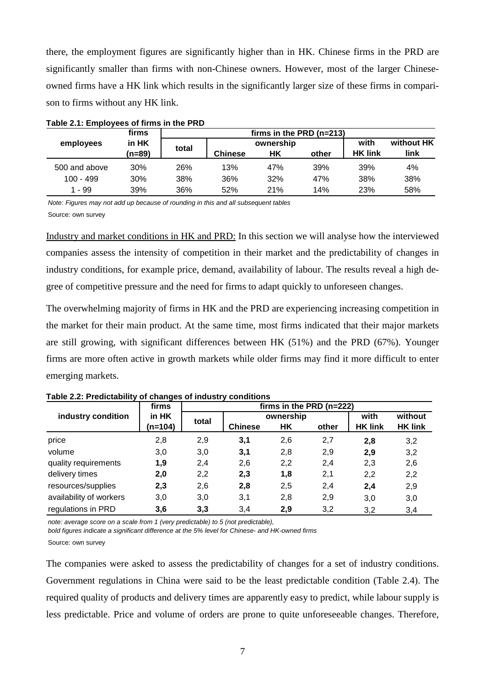there, the employment figures are significantly higher than in HK. Chinese firms in the PRD are significantly smaller than firms with non-Chinese owners. However, most of the larger Chineseowned firms have a HK link which results in the significantly larger size of these firms in comparison to firms without any HK link.

|               | firms           |            | firms in the PRD (n=213) |           |       |                |            |
|---------------|-----------------|------------|--------------------------|-----------|-------|----------------|------------|
| employees     | in HK<br>(n=89) | total      |                          | ownership |       | with           | without HK |
|               |                 |            | <b>Chinese</b>           | НK        | other | <b>HK link</b> | link       |
| 500 and above | 30%             | <b>26%</b> | 13%                      | 47%       | 39%   | 39%            | 4%         |
| $100 - 499$   | 30%             | 38%        | 36%                      | 32%       | 47%   | 38%            | 38%        |
| 1 - 99        | 39%             | 36%        | 52%                      | 21%       | 14%   | 23%            | 58%        |

**Table 2.1: Employees of firms in the PRD** 

Note: Figures may not add up because of rounding in this and all subsequent tables Source: own survey

Industry and market conditions in HK and PRD: In this section we will analyse how the interviewed companies assess the intensity of competition in their market and the predictability of changes in industry conditions, for example price, demand, availability of labour. The results reveal a high degree of competitive pressure and the need for firms to adapt quickly to unforeseen changes.

The overwhelming majority of firms in HK and the PRD are experiencing increasing competition in the market for their main product. At the same time, most firms indicated that their major markets are still growing, with significant differences between HK (51%) and the PRD (67%). Younger firms are more often active in growth markets while older firms may find it more difficult to enter emerging markets.

|                         | firms     | firms in the PRD (n=222) |                |           |       |                |                |  |  |
|-------------------------|-----------|--------------------------|----------------|-----------|-------|----------------|----------------|--|--|
| industry condition      | in HK     | total                    |                | ownership | with  | without        |                |  |  |
|                         | $(n=104)$ |                          | <b>Chinese</b> | НK        | other | <b>HK link</b> | <b>HK link</b> |  |  |
| price                   | 2,8       | 2,9                      | 3,1            | 2,6       | 2,7   | 2,8            | 3,2            |  |  |
| volume                  | 3,0       | 3,0                      | 3,1            | 2,8       | 2,9   | 2,9            | 3,2            |  |  |
| quality requirements    | 1,9       | 2,4                      | 2,6            | 2,2       | 2,4   | 2,3            | 2,6            |  |  |
| delivery times          | 2,0       | 2,2                      | 2,3            | 1,8       | 2,1   | 2,2            | 2,2            |  |  |
| resources/supplies      | 2,3       | 2,6                      | 2,8            | 2,5       | 2,4   | 2,4            | 2,9            |  |  |
| availability of workers | 3,0       | 3,0                      | 3,1            | 2,8       | 2,9   | 3,0            | 3,0            |  |  |
| regulations in PRD      | 3,6       | 3,3                      | 3,4            | 2,9       | 3,2   | 3,2            | 3,4            |  |  |

**Table 2.2: Predictability of changes of industry conditions** 

note: average score on a scale from 1 (very predictable) to 5 (not predictable),

bold figures indicate a significant difference at the 5% level for Chinese- and HK-owned firms

Source: own survey

The companies were asked to assess the predictability of changes for a set of industry conditions. Government regulations in China were said to be the least predictable condition (Table 2.4). The required quality of products and delivery times are apparently easy to predict, while labour supply is less predictable. Price and volume of orders are prone to quite unforeseeable changes. Therefore,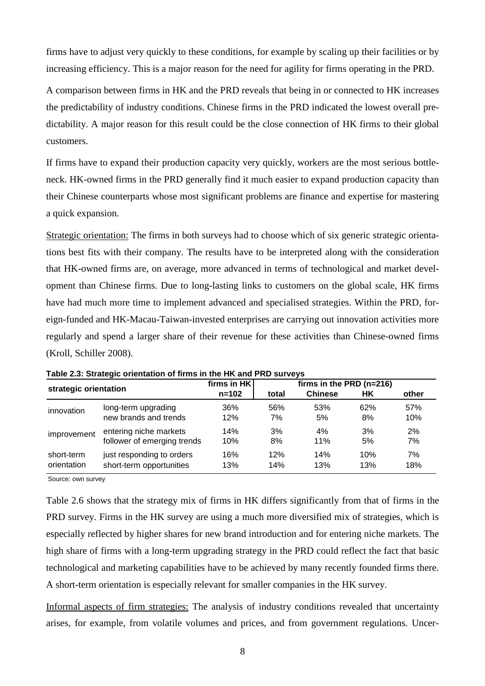firms have to adjust very quickly to these conditions, for example by scaling up their facilities or by increasing efficiency. This is a major reason for the need for agility for firms operating in the PRD.

A comparison between firms in HK and the PRD reveals that being in or connected to HK increases the predictability of industry conditions. Chinese firms in the PRD indicated the lowest overall predictability. A major reason for this result could be the close connection of HK firms to their global customers.

If firms have to expand their production capacity very quickly, workers are the most serious bottleneck. HK-owned firms in the PRD generally find it much easier to expand production capacity than their Chinese counterparts whose most significant problems are finance and expertise for mastering a quick expansion.

Strategic orientation: The firms in both surveys had to choose which of six generic strategic orientations best fits with their company. The results have to be interpreted along with the consideration that HK-owned firms are, on average, more advanced in terms of technological and market development than Chinese firms. Due to long-lasting links to customers on the global scale, HK firms have had much more time to implement advanced and specialised strategies. Within the PRD, foreign-funded and HK-Macau-Taiwan-invested enterprises are carrying out innovation activities more regularly and spend a larger share of their revenue for these activities than Chinese-owned firms (Kroll, Schiller 2008).

|                       |                             | firms in HK |       | firms in the PRD (n=216) |     |       |
|-----------------------|-----------------------------|-------------|-------|--------------------------|-----|-------|
| strategic orientation |                             | $n = 102$   | total | <b>Chinese</b>           | НK  | other |
| innovation            | long-term upgrading         | 36%         | 56%   | 53%                      | 62% | 57%   |
|                       | new brands and trends       | 12%         | 7%    | 5%                       | 8%  | 10%   |
| improvement           | entering niche markets      | 14%         | 3%    | 4%                       | 3%  | 2%    |
|                       | follower of emerging trends | 10%         | 8%    | 11%                      | 5%  | 7%    |
| short-term            | just responding to orders   | 16%         | 12%   | 14%                      | 10% | 7%    |
| orientation           | short-term opportunities    | 13%         | 14%   | 13%                      | 13% | 18%   |

**Table 2.3: Strategic orientation of firms in the HK and PRD surveys** 

Source: own survey

Table 2.6 shows that the strategy mix of firms in HK differs significantly from that of firms in the PRD survey. Firms in the HK survey are using a much more diversified mix of strategies, which is especially reflected by higher shares for new brand introduction and for entering niche markets. The high share of firms with a long-term upgrading strategy in the PRD could reflect the fact that basic technological and marketing capabilities have to be achieved by many recently founded firms there. A short-term orientation is especially relevant for smaller companies in the HK survey.

Informal aspects of firm strategies: The analysis of industry conditions revealed that uncertainty arises, for example, from volatile volumes and prices, and from government regulations. Uncer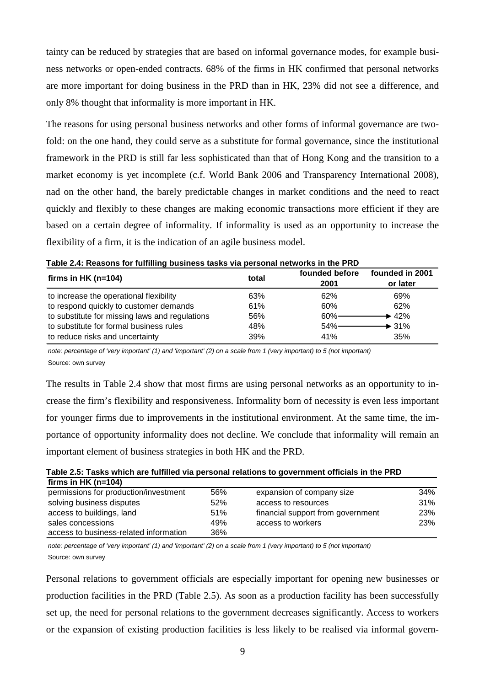tainty can be reduced by strategies that are based on informal governance modes, for example business networks or open-ended contracts. 68% of the firms in HK confirmed that personal networks are more important for doing business in the PRD than in HK, 23% did not see a difference, and only 8% thought that informality is more important in HK.

The reasons for using personal business networks and other forms of informal governance are twofold: on the one hand, they could serve as a substitute for formal governance, since the institutional framework in the PRD is still far less sophisticated than that of Hong Kong and the transition to a market economy is yet incomplete (c.f. World Bank 2006 and Transparency International 2008), nad on the other hand, the barely predictable changes in market conditions and the need to react quickly and flexibly to these changes are making economic transactions more efficient if they are based on a certain degree of informality. If informality is used as an opportunity to increase the flexibility of a firm, it is the indication of an agile business model.

| firms in HK ( $n=104$ )                        | total | founded before | founded in 2001   |
|------------------------------------------------|-------|----------------|-------------------|
|                                                |       | 2001           | or later          |
| to increase the operational flexibility        | 63%   | 62%            | 69%               |
| to respond quickly to customer demands         | 61%   | 60%            | 62%               |
| to substitute for missing laws and regulations | 56%   | 60%-           | $+42%$            |
| to substitute for formal business rules        | 48%   | $54\%$ —       | $\rightarrow$ 31% |
| to reduce risks and uncertainty                | 39%   | 41%            | 35%               |

|  |  | Table 2.4: Reasons for fulfilling business tasks via personal networks in the PRD |
|--|--|-----------------------------------------------------------------------------------|
|--|--|-----------------------------------------------------------------------------------|

note: percentage of 'very important' (1) and 'important' (2) on a scale from 1 (very important) to 5 (not important) Source: own survey

The results in Table 2.4 show that most firms are using personal networks as an opportunity to increase the firm's flexibility and responsiveness. Informality born of necessity is even less important for younger firms due to improvements in the institutional environment. At the same time, the importance of opportunity informality does not decline. We conclude that informality will remain an important element of business strategies in both HK and the PRD.

| Table 2.5: Tasks which are fulfilled via personal relations to government officials in the PRD |  |
|------------------------------------------------------------------------------------------------|--|
| firms in HK ( $n=104$ )                                                                        |  |

| permissions for production/investment  | 56% | expansion of company size         | 34% |
|----------------------------------------|-----|-----------------------------------|-----|
| solving business disputes              | 52% | access to resources               | 31% |
| access to buildings, land              | 51% | financial support from government | 23% |
| sales concessions                      | 49% | access to workers                 | 23% |
| access to business-related information | 36% |                                   |     |

note: percentage of 'very important' (1) and 'important' (2) on a scale from 1 (very important) to 5 (not important) Source: own survey

Personal relations to government officials are especially important for opening new businesses or production facilities in the PRD (Table 2.5). As soon as a production facility has been successfully set up, the need for personal relations to the government decreases significantly. Access to workers or the expansion of existing production facilities is less likely to be realised via informal govern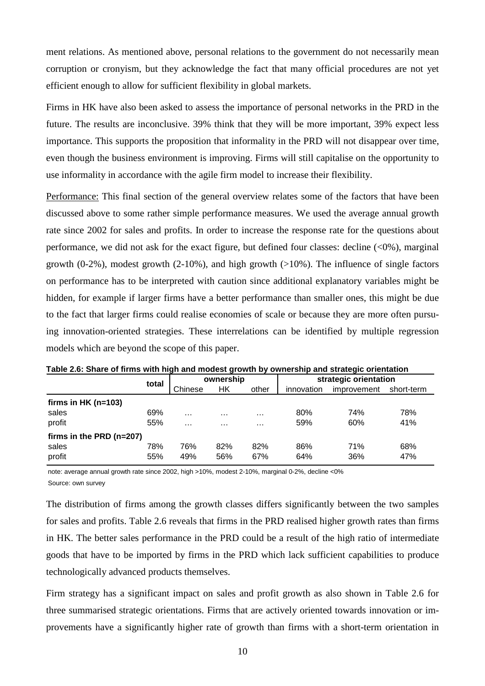ment relations. As mentioned above, personal relations to the government do not necessarily mean corruption or cronyism, but they acknowledge the fact that many official procedures are not yet efficient enough to allow for sufficient flexibility in global markets.

Firms in HK have also been asked to assess the importance of personal networks in the PRD in the future. The results are inconclusive. 39% think that they will be more important, 39% expect less importance. This supports the proposition that informality in the PRD will not disappear over time, even though the business environment is improving. Firms will still capitalise on the opportunity to use informality in accordance with the agile firm model to increase their flexibility.

Performance: This final section of the general overview relates some of the factors that have been discussed above to some rather simple performance measures. We used the average annual growth rate since 2002 for sales and profits. In order to increase the response rate for the questions about performance, we did not ask for the exact figure, but defined four classes: decline  $\langle \langle 0\% \rangle$ , marginal growth  $(0-2\%)$ , modest growth  $(2-10\%)$ , and high growth  $(>10\%)$ . The influence of single factors on performance has to be interpreted with caution since additional explanatory variables might be hidden, for example if larger firms have a better performance than smaller ones, this might be due to the fact that larger firms could realise economies of scale or because they are more often pursuing innovation-oriented strategies. These interrelations can be identified by multiple regression models which are beyond the scope of this paper.

| Table 2.0. Onare Of Hims with high and modest growth by Ownership and Strategic Orientation |       |           |          |          |                       |             |            |  |  |
|---------------------------------------------------------------------------------------------|-------|-----------|----------|----------|-----------------------|-------------|------------|--|--|
|                                                                                             | total | ownership |          |          | strategic orientation |             |            |  |  |
|                                                                                             |       | Chinese   | НK       | other    | innovation            | improvement | short-term |  |  |
| firms in HK ( $n=103$ )                                                                     |       |           |          |          |                       |             |            |  |  |
| sales                                                                                       | 69%   | $\cdots$  | $\cdots$ | $\cdots$ | 80%                   | 74%         | 78%        |  |  |
| profit                                                                                      | 55%   | $\cdots$  | $\cdots$ | $\cdots$ | 59%                   | 60%         | 41%        |  |  |
| firms in the PRD (n=207)                                                                    |       |           |          |          |                       |             |            |  |  |
| sales                                                                                       | 78%   | 76%       | 82%      | 82%      | 86%                   | 71%         | 68%        |  |  |
| profit                                                                                      | 55%   | 49%       | 56%      | 67%      | 64%                   | 36%         | 47%        |  |  |

**Table 2.6: Share of firms with high and modest growth by ownership and strategic orientation** 

note: average annual growth rate since 2002, high >10%, modest 2-10%, marginal 0-2%, decline <0% Source: own survey

The distribution of firms among the growth classes differs significantly between the two samples for sales and profits. Table 2.6 reveals that firms in the PRD realised higher growth rates than firms in HK. The better sales performance in the PRD could be a result of the high ratio of intermediate goods that have to be imported by firms in the PRD which lack sufficient capabilities to produce technologically advanced products themselves.

Firm strategy has a significant impact on sales and profit growth as also shown in Table 2.6 for three summarised strategic orientations. Firms that are actively oriented towards innovation or improvements have a significantly higher rate of growth than firms with a short-term orientation in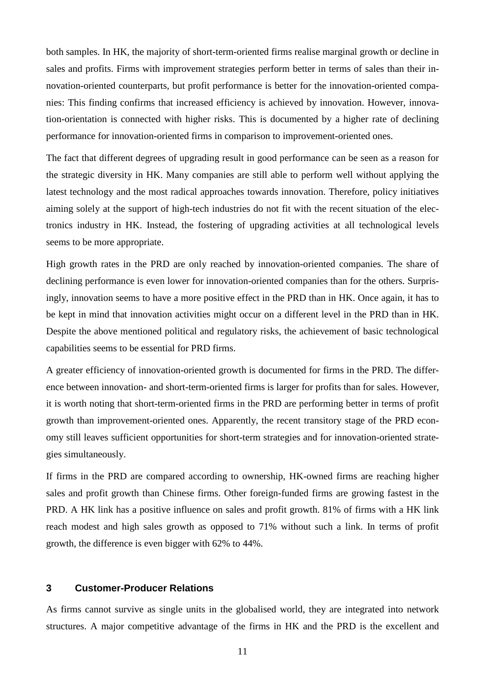both samples. In HK, the majority of short-term-oriented firms realise marginal growth or decline in sales and profits. Firms with improvement strategies perform better in terms of sales than their innovation-oriented counterparts, but profit performance is better for the innovation-oriented companies: This finding confirms that increased efficiency is achieved by innovation. However, innovation-orientation is connected with higher risks. This is documented by a higher rate of declining performance for innovation-oriented firms in comparison to improvement-oriented ones.

The fact that different degrees of upgrading result in good performance can be seen as a reason for the strategic diversity in HK. Many companies are still able to perform well without applying the latest technology and the most radical approaches towards innovation. Therefore, policy initiatives aiming solely at the support of high-tech industries do not fit with the recent situation of the electronics industry in HK. Instead, the fostering of upgrading activities at all technological levels seems to be more appropriate.

High growth rates in the PRD are only reached by innovation-oriented companies. The share of declining performance is even lower for innovation-oriented companies than for the others. Surprisingly, innovation seems to have a more positive effect in the PRD than in HK. Once again, it has to be kept in mind that innovation activities might occur on a different level in the PRD than in HK. Despite the above mentioned political and regulatory risks, the achievement of basic technological capabilities seems to be essential for PRD firms.

A greater efficiency of innovation-oriented growth is documented for firms in the PRD. The difference between innovation- and short-term-oriented firms is larger for profits than for sales. However, it is worth noting that short-term-oriented firms in the PRD are performing better in terms of profit growth than improvement-oriented ones. Apparently, the recent transitory stage of the PRD economy still leaves sufficient opportunities for short-term strategies and for innovation-oriented strategies simultaneously.

If firms in the PRD are compared according to ownership, HK-owned firms are reaching higher sales and profit growth than Chinese firms. Other foreign-funded firms are growing fastest in the PRD. A HK link has a positive influence on sales and profit growth. 81% of firms with a HK link reach modest and high sales growth as opposed to 71% without such a link. In terms of profit growth, the difference is even bigger with 62% to 44%.

#### **3 Customer-Producer Relations**

As firms cannot survive as single units in the globalised world, they are integrated into network structures. A major competitive advantage of the firms in HK and the PRD is the excellent and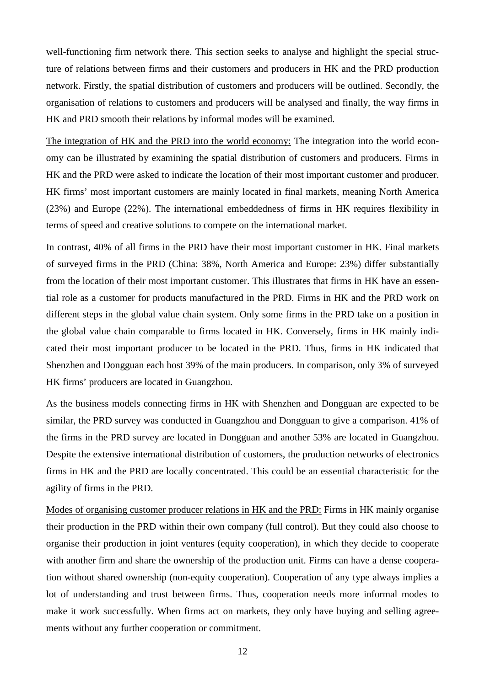well-functioning firm network there. This section seeks to analyse and highlight the special structure of relations between firms and their customers and producers in HK and the PRD production network. Firstly, the spatial distribution of customers and producers will be outlined. Secondly, the organisation of relations to customers and producers will be analysed and finally, the way firms in HK and PRD smooth their relations by informal modes will be examined.

The integration of HK and the PRD into the world economy: The integration into the world economy can be illustrated by examining the spatial distribution of customers and producers. Firms in HK and the PRD were asked to indicate the location of their most important customer and producer. HK firms' most important customers are mainly located in final markets, meaning North America (23%) and Europe (22%). The international embeddedness of firms in HK requires flexibility in terms of speed and creative solutions to compete on the international market.

In contrast, 40% of all firms in the PRD have their most important customer in HK. Final markets of surveyed firms in the PRD (China: 38%, North America and Europe: 23%) differ substantially from the location of their most important customer. This illustrates that firms in HK have an essential role as a customer for products manufactured in the PRD. Firms in HK and the PRD work on different steps in the global value chain system. Only some firms in the PRD take on a position in the global value chain comparable to firms located in HK. Conversely, firms in HK mainly indicated their most important producer to be located in the PRD. Thus, firms in HK indicated that Shenzhen and Dongguan each host 39% of the main producers. In comparison, only 3% of surveyed HK firms' producers are located in Guangzhou.

As the business models connecting firms in HK with Shenzhen and Dongguan are expected to be similar, the PRD survey was conducted in Guangzhou and Dongguan to give a comparison. 41% of the firms in the PRD survey are located in Dongguan and another 53% are located in Guangzhou. Despite the extensive international distribution of customers, the production networks of electronics firms in HK and the PRD are locally concentrated. This could be an essential characteristic for the agility of firms in the PRD.

Modes of organising customer producer relations in HK and the PRD: Firms in HK mainly organise their production in the PRD within their own company (full control). But they could also choose to organise their production in joint ventures (equity cooperation), in which they decide to cooperate with another firm and share the ownership of the production unit. Firms can have a dense cooperation without shared ownership (non-equity cooperation). Cooperation of any type always implies a lot of understanding and trust between firms. Thus, cooperation needs more informal modes to make it work successfully. When firms act on markets, they only have buying and selling agreements without any further cooperation or commitment.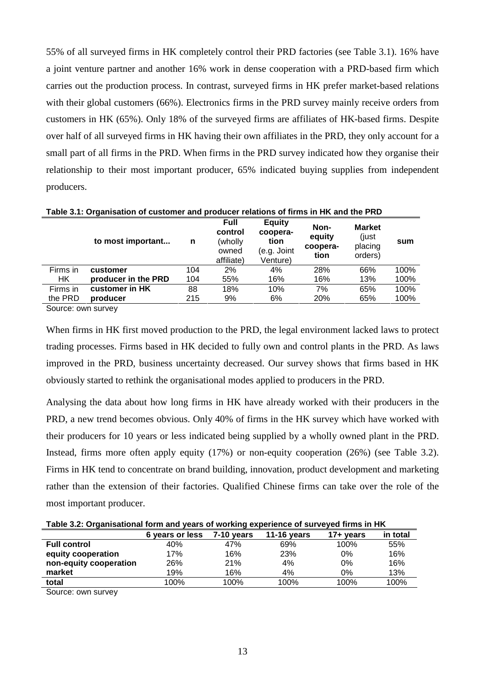55% of all surveyed firms in HK completely control their PRD factories (see Table 3.1). 16% have a joint venture partner and another 16% work in dense cooperation with a PRD-based firm which carries out the production process. In contrast, surveyed firms in HK prefer market-based relations with their global customers (66%). Electronics firms in the PRD survey mainly receive orders from customers in HK (65%). Only 18% of the surveyed firms are affiliates of HK-based firms. Despite over half of all surveyed firms in HK having their own affiliates in the PRD, they only account for a small part of all firms in the PRD. When firms in the PRD survey indicated how they organise their relationship to their most important producer, 65% indicated buying supplies from independent producers.

|          | to most important   | n   | <b>Full</b><br>control<br>(wholly<br>owned<br>affiliate) | <b>Equity</b><br>coopera-<br>tion<br>(e.g. Joint<br>Venture) | Non-<br>equity<br>coopera-<br>tion | <b>Market</b><br>(just<br>placing<br>orders) | sum  |  |  |  |  |
|----------|---------------------|-----|----------------------------------------------------------|--------------------------------------------------------------|------------------------------------|----------------------------------------------|------|--|--|--|--|
| Firms in | customer            | 104 | 2%                                                       | 4%                                                           | 28%                                | 66%                                          | 100% |  |  |  |  |
| HK.      | producer in the PRD | 104 | 55%                                                      | 16%                                                          | 16%                                | 13%                                          | 100% |  |  |  |  |
| Firms in | customer in HK      | 88  | 18%                                                      | 10%                                                          | 7%                                 | 65%                                          | 100% |  |  |  |  |
| the PRD  | producer            | 215 | 9%                                                       | 6%                                                           | 20%                                | 65%                                          | 100% |  |  |  |  |
|          |                     |     |                                                          |                                                              |                                    |                                              |      |  |  |  |  |

**Table 3.1: Organisation of customer and producer relations of firms in HK and the PRD** 

Source: own survey

When firms in HK first moved production to the PRD, the legal environment lacked laws to protect trading processes. Firms based in HK decided to fully own and control plants in the PRD. As laws improved in the PRD, business uncertainty decreased. Our survey shows that firms based in HK obviously started to rethink the organisational modes applied to producers in the PRD.

Analysing the data about how long firms in HK have already worked with their producers in the PRD, a new trend becomes obvious. Only 40% of firms in the HK survey which have worked with their producers for 10 years or less indicated being supplied by a wholly owned plant in the PRD. Instead, firms more often apply equity (17%) or non-equity cooperation (26%) (see Table 3.2). Firms in HK tend to concentrate on brand building, innovation, product development and marketing rather than the extension of their factories. Qualified Chinese firms can take over the role of the most important producer.

| Table 3.2: Organisational form and years of working experience of surveyed firms in HK |  |  |
|----------------------------------------------------------------------------------------|--|--|
|                                                                                        |  |  |

| ີ                      |                 |            |                    |                       |          |
|------------------------|-----------------|------------|--------------------|-----------------------|----------|
|                        | 6 years or less | 7-10 vears | <b>11-16 vears</b> | $17 + \mathrm{years}$ | in total |
| <b>Full control</b>    | 40%             | 47%        | 69%                | 100%                  | 55%      |
| equity cooperation     | 17%             | 16%        | 23%                | 0%                    | 16%      |
| non-equity cooperation | 26%             | 21%        | 4%                 | 0%                    | 16%      |
| market                 | 19%             | 16%        | 4%                 | 0%                    | 13%      |
| total                  | 100%            | 100%       | 100%               | 100%                  | 100%     |

Source: own survey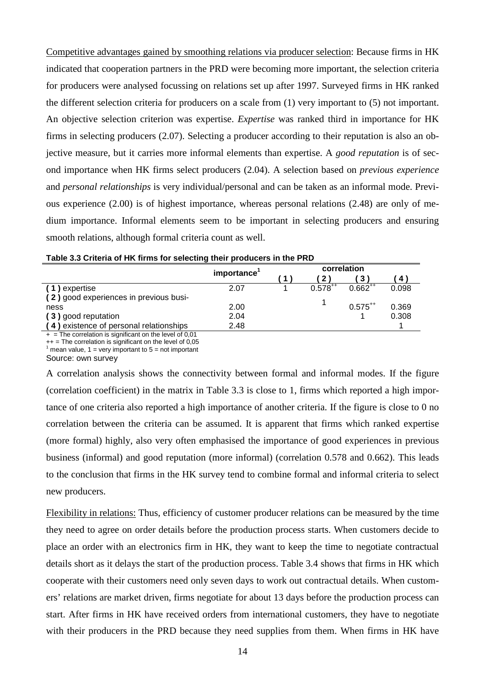Competitive advantages gained by smoothing relations via producer selection: Because firms in HK indicated that cooperation partners in the PRD were becoming more important, the selection criteria for producers were analysed focussing on relations set up after 1997. Surveyed firms in HK ranked the different selection criteria for producers on a scale from (1) very important to (5) not important. An objective selection criterion was expertise. *Expertise* was ranked third in importance for HK firms in selecting producers (2.07). Selecting a producer according to their reputation is also an objective measure, but it carries more informal elements than expertise. A *good reputation* is of second importance when HK firms select producers (2.04). A selection based on *previous experience* and *personal relationships* is very individual/personal and can be taken as an informal mode. Previous experience (2.00) is of highest importance, whereas personal relations (2.48) are only of medium importance. Informal elements seem to be important in selecting producers and ensuring smooth relations, although formal criteria count as well.

|                                         | importance' | correlation  |              |       |  |  |
|-----------------------------------------|-------------|--------------|--------------|-------|--|--|
|                                         |             |              | 3            | 4     |  |  |
| (1) expertise                           | 2.07        | $0.578^{++}$ | $0.662^{++}$ | 0.098 |  |  |
| (2) good experiences in previous busi-  |             |              |              |       |  |  |
| ness                                    | 2.00        |              | $0.575^{++}$ | 0.369 |  |  |
| (3) good reputation                     | 2.04        |              |              | 0.308 |  |  |
| (4) existence of personal relationships | 2.48        |              |              |       |  |  |

| Table 3.3 Criteria of HK firms for selecting their producers in the PRD |  |  |
|-------------------------------------------------------------------------|--|--|
|-------------------------------------------------------------------------|--|--|

 $+$  = The correlation is significant on the level of 0.01

++ = The correlation is significant on the level of 0,05<br><sup>1</sup> mean value, 1 = very important to 5 = not important

Source: own survey

A correlation analysis shows the connectivity between formal and informal modes. If the figure (correlation coefficient) in the matrix in Table 3.3 is close to 1, firms which reported a high importance of one criteria also reported a high importance of another criteria. If the figure is close to 0 no correlation between the criteria can be assumed. It is apparent that firms which ranked expertise (more formal) highly, also very often emphasised the importance of good experiences in previous business (informal) and good reputation (more informal) (correlation 0.578 and 0.662). This leads to the conclusion that firms in the HK survey tend to combine formal and informal criteria to select new producers.

Flexibility in relations: Thus, efficiency of customer producer relations can be measured by the time they need to agree on order details before the production process starts. When customers decide to place an order with an electronics firm in HK, they want to keep the time to negotiate contractual details short as it delays the start of the production process. Table 3.4 shows that firms in HK which cooperate with their customers need only seven days to work out contractual details. When customers' relations are market driven, firms negotiate for about 13 days before the production process can start. After firms in HK have received orders from international customers, they have to negotiate with their producers in the PRD because they need supplies from them. When firms in HK have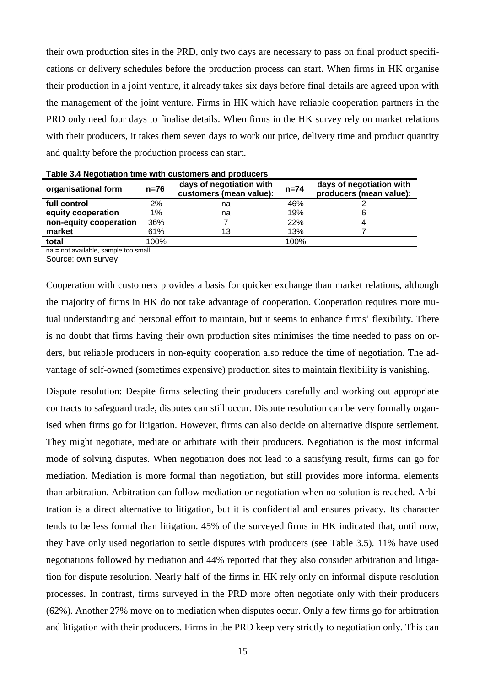their own production sites in the PRD, only two days are necessary to pass on final product specifications or delivery schedules before the production process can start. When firms in HK organise their production in a joint venture, it already takes six days before final details are agreed upon with the management of the joint venture. Firms in HK which have reliable cooperation partners in the PRD only need four days to finalise details. When firms in the HK survey rely on market relations with their producers, it takes them seven days to work out price, delivery time and product quantity and quality before the production process can start.

| organisational form    | $n=76$ | days of negotiation with<br>customers (mean value): | $n = 74$ | days of negotiation with<br>producers (mean value): |
|------------------------|--------|-----------------------------------------------------|----------|-----------------------------------------------------|
| full control           | 2%     | na                                                  | 46%      |                                                     |
| equity cooperation     | $1\%$  | na                                                  | 19%      |                                                     |
| non-equity cooperation | 36%    |                                                     | 22%      |                                                     |
| market                 | 61%    | 13                                                  | 13%      |                                                     |
| total                  | 100%   |                                                     | 100%     |                                                     |

| Table 3.4 Negotiation time with customers and producers |  |  |  |  |  |  |  |
|---------------------------------------------------------|--|--|--|--|--|--|--|
|---------------------------------------------------------|--|--|--|--|--|--|--|

na = not available, sample too small

Source: own survey

Cooperation with customers provides a basis for quicker exchange than market relations, although the majority of firms in HK do not take advantage of cooperation. Cooperation requires more mutual understanding and personal effort to maintain, but it seems to enhance firms' flexibility. There is no doubt that firms having their own production sites minimises the time needed to pass on orders, but reliable producers in non-equity cooperation also reduce the time of negotiation. The advantage of self-owned (sometimes expensive) production sites to maintain flexibility is vanishing.

Dispute resolution: Despite firms selecting their producers carefully and working out appropriate contracts to safeguard trade, disputes can still occur. Dispute resolution can be very formally organised when firms go for litigation. However, firms can also decide on alternative dispute settlement. They might negotiate, mediate or arbitrate with their producers. Negotiation is the most informal mode of solving disputes. When negotiation does not lead to a satisfying result, firms can go for mediation. Mediation is more formal than negotiation, but still provides more informal elements than arbitration. Arbitration can follow mediation or negotiation when no solution is reached. Arbitration is a direct alternative to litigation, but it is confidential and ensures privacy. Its character tends to be less formal than litigation. 45% of the surveyed firms in HK indicated that, until now, they have only used negotiation to settle disputes with producers (see Table 3.5). 11% have used negotiations followed by mediation and 44% reported that they also consider arbitration and litigation for dispute resolution. Nearly half of the firms in HK rely only on informal dispute resolution processes. In contrast, firms surveyed in the PRD more often negotiate only with their producers (62%). Another 27% move on to mediation when disputes occur. Only a few firms go for arbitration and litigation with their producers. Firms in the PRD keep very strictly to negotiation only. This can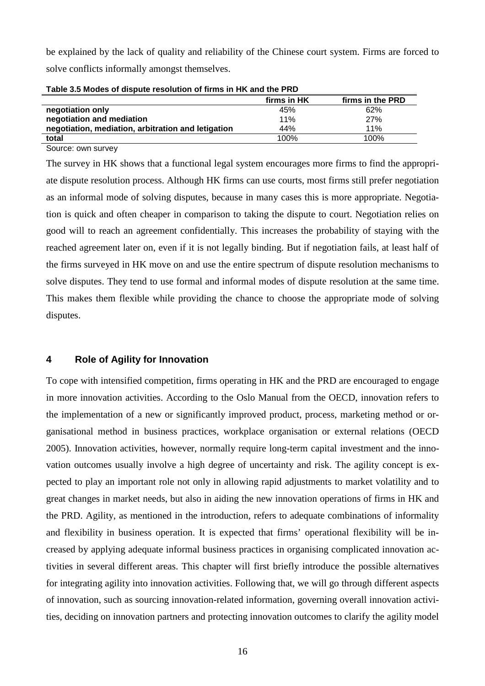be explained by the lack of quality and reliability of the Chinese court system. Firms are forced to solve conflicts informally amongst themselves.

|                                                    | firms in HK | firms in the PRD |  |  |  |  |  |
|----------------------------------------------------|-------------|------------------|--|--|--|--|--|
| negotiation only                                   | 45%         | 62%              |  |  |  |  |  |
| negotiation and mediation                          | 11%         | 27%              |  |  |  |  |  |
| negotiation, mediation, arbitration and letigation | 44%         | 11%              |  |  |  |  |  |
| total                                              | 100%        | 100%             |  |  |  |  |  |

|  | Table 3.5 Modes of dispute resolution of firms in HK and the PRD |
|--|------------------------------------------------------------------|
|  |                                                                  |

Source: own survey

The survey in HK shows that a functional legal system encourages more firms to find the appropriate dispute resolution process. Although HK firms can use courts, most firms still prefer negotiation as an informal mode of solving disputes, because in many cases this is more appropriate. Negotiation is quick and often cheaper in comparison to taking the dispute to court. Negotiation relies on good will to reach an agreement confidentially. This increases the probability of staying with the reached agreement later on, even if it is not legally binding. But if negotiation fails, at least half of the firms surveyed in HK move on and use the entire spectrum of dispute resolution mechanisms to solve disputes. They tend to use formal and informal modes of dispute resolution at the same time. This makes them flexible while providing the chance to choose the appropriate mode of solving disputes.

#### **4 Role of Agility for Innovation**

To cope with intensified competition, firms operating in HK and the PRD are encouraged to engage in more innovation activities. According to the Oslo Manual from the OECD, innovation refers to the implementation of a new or significantly improved product, process, marketing method or organisational method in business practices, workplace organisation or external relations (OECD 2005). Innovation activities, however, normally require long-term capital investment and the innovation outcomes usually involve a high degree of uncertainty and risk. The agility concept is expected to play an important role not only in allowing rapid adjustments to market volatility and to great changes in market needs, but also in aiding the new innovation operations of firms in HK and the PRD. Agility, as mentioned in the introduction, refers to adequate combinations of informality and flexibility in business operation. It is expected that firms' operational flexibility will be increased by applying adequate informal business practices in organising complicated innovation activities in several different areas. This chapter will first briefly introduce the possible alternatives for integrating agility into innovation activities. Following that, we will go through different aspects of innovation, such as sourcing innovation-related information, governing overall innovation activities, deciding on innovation partners and protecting innovation outcomes to clarify the agility model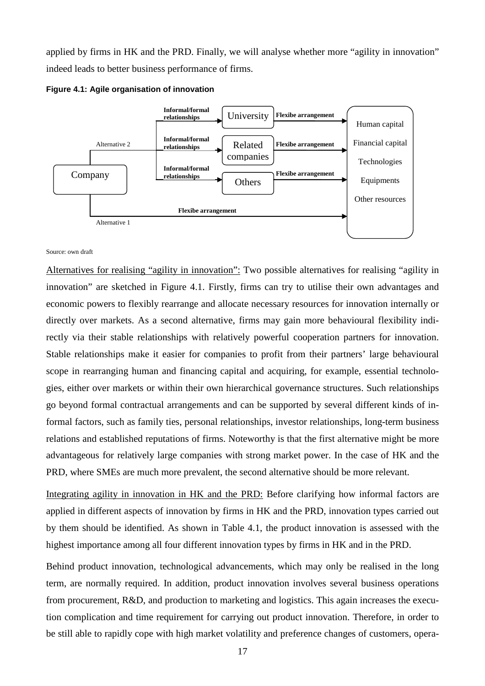applied by firms in HK and the PRD. Finally, we will analyse whether more "agility in innovation" indeed leads to better business performance of firms.





#### Source: own draft

Alternatives for realising "agility in innovation": Two possible alternatives for realising "agility in innovation" are sketched in Figure 4.1. Firstly, firms can try to utilise their own advantages and economic powers to flexibly rearrange and allocate necessary resources for innovation internally or directly over markets. As a second alternative, firms may gain more behavioural flexibility indirectly via their stable relationships with relatively powerful cooperation partners for innovation. Stable relationships make it easier for companies to profit from their partners' large behavioural scope in rearranging human and financing capital and acquiring, for example, essential technologies, either over markets or within their own hierarchical governance structures. Such relationships go beyond formal contractual arrangements and can be supported by several different kinds of informal factors, such as family ties, personal relationships, investor relationships, long-term business relations and established reputations of firms. Noteworthy is that the first alternative might be more advantageous for relatively large companies with strong market power. In the case of HK and the PRD, where SMEs are much more prevalent, the second alternative should be more relevant.

Integrating agility in innovation in HK and the PRD: Before clarifying how informal factors are applied in different aspects of innovation by firms in HK and the PRD, innovation types carried out by them should be identified. As shown in Table 4.1, the product innovation is assessed with the highest importance among all four different innovation types by firms in HK and in the PRD.

Behind product innovation, technological advancements, which may only be realised in the long term, are normally required. In addition, product innovation involves several business operations from procurement, R&D, and production to marketing and logistics. This again increases the execution complication and time requirement for carrying out product innovation. Therefore, in order to be still able to rapidly cope with high market volatility and preference changes of customers, opera-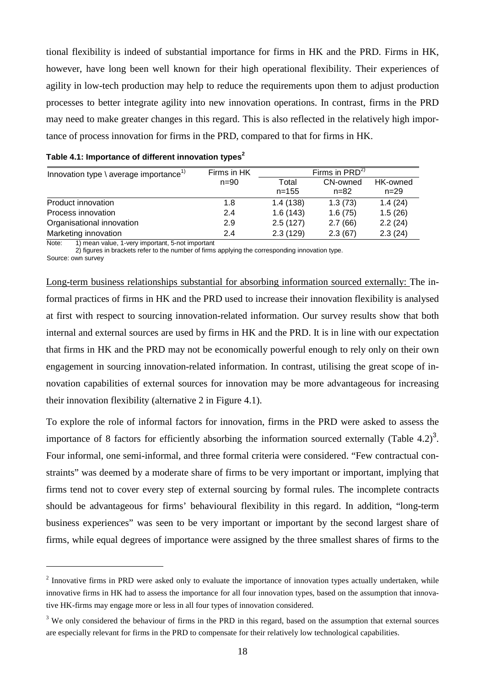tional flexibility is indeed of substantial importance for firms in HK and the PRD. Firms in HK, however, have long been well known for their high operational flexibility. Their experiences of agility in low-tech production may help to reduce the requirements upon them to adjust production processes to better integrate agility into new innovation operations. In contrast, firms in the PRD may need to make greater changes in this regard. This is also reflected in the relatively high importance of process innovation for firms in the PRD, compared to that for firms in HK.

| Innovation type $\langle$ average importance <sup>1)</sup> | Firms in HK | Firms in $PRD^{2}$ |          |                 |  |  |
|------------------------------------------------------------|-------------|--------------------|----------|-----------------|--|--|
|                                                            | $n = 90$    | Total              | CN-owned | <b>HK-owned</b> |  |  |
|                                                            |             | $n = 155$          | n=82     | $n = 29$        |  |  |
| Product innovation                                         | 1.8         | 1.4(138)           | 1.3(73)  | 1.4(24)         |  |  |
| Process innovation                                         | 2.4         | 1.6(143)           | 1.6(75)  | 1.5(26)         |  |  |
| Organisational innovation                                  | 2.9         | 2.5(127)           | 2.7(66)  | 2.2(24)         |  |  |
| Marketing innovation                                       | 2.4         | 2.3(129)           | 2.3(67)  | 2.3(24)         |  |  |

#### **Table 4.1: Importance of different innovation types<sup>2</sup>**

Note: 1) mean value, 1-very important, 5-not important

2) figures in brackets refer to the number of firms applying the corresponding innovation type.

Source: own survey

 $\overline{a}$ 

Long-term business relationships substantial for absorbing information sourced externally: The informal practices of firms in HK and the PRD used to increase their innovation flexibility is analysed at first with respect to sourcing innovation-related information. Our survey results show that both internal and external sources are used by firms in HK and the PRD. It is in line with our expectation that firms in HK and the PRD may not be economically powerful enough to rely only on their own engagement in sourcing innovation-related information. In contrast, utilising the great scope of innovation capabilities of external sources for innovation may be more advantageous for increasing their innovation flexibility (alternative 2 in Figure 4.1).

To explore the role of informal factors for innovation, firms in the PRD were asked to assess the importance of 8 factors for efficiently absorbing the information sourced externally (Table 4.2)<sup>3</sup>. Four informal, one semi-informal, and three formal criteria were considered. "Few contractual constraints" was deemed by a moderate share of firms to be very important or important, implying that firms tend not to cover every step of external sourcing by formal rules. The incomplete contracts should be advantageous for firms' behavioural flexibility in this regard. In addition, "long-term business experiences" was seen to be very important or important by the second largest share of firms, while equal degrees of importance were assigned by the three smallest shares of firms to the

 $2$  Innovative firms in PRD were asked only to evaluate the importance of innovation types actually undertaken, while innovative firms in HK had to assess the importance for all four innovation types, based on the assumption that innovative HK-firms may engage more or less in all four types of innovation considered.

 $3$  We only considered the behaviour of firms in the PRD in this regard, based on the assumption that external sources are especially relevant for firms in the PRD to compensate for their relatively low technological capabilities.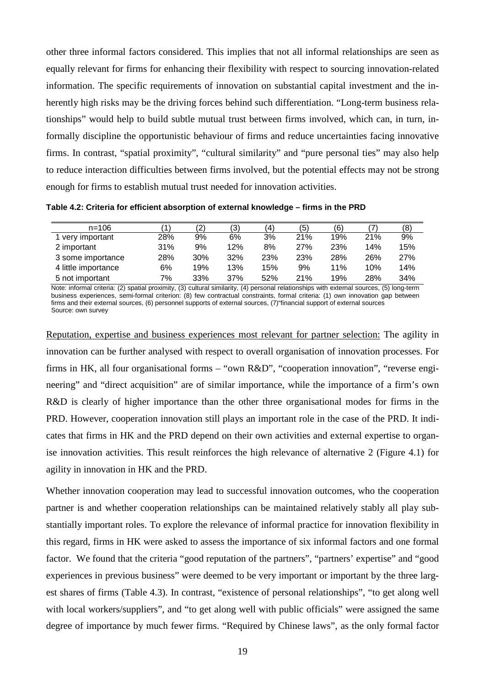other three informal factors considered. This implies that not all informal relationships are seen as equally relevant for firms for enhancing their flexibility with respect to sourcing innovation-related information. The specific requirements of innovation on substantial capital investment and the inherently high risks may be the driving forces behind such differentiation. "Long-term business relationships" would help to build subtle mutual trust between firms involved, which can, in turn, informally discipline the opportunistic behaviour of firms and reduce uncertainties facing innovative firms. In contrast, "spatial proximity", "cultural similarity" and "pure personal ties" may also help to reduce interaction difficulties between firms involved, but the potential effects may not be strong enough for firms to establish mutual trust needed for innovation activities.

**Table 4.2: Criteria for efficient absorption of external knowledge – firms in the PRD** 

| $n = 106$           |     | (2) | ′3) | '4) | (5) | (6) |     | (8) |
|---------------------|-----|-----|-----|-----|-----|-----|-----|-----|
| 1 very important    | 28% | 9%  | 6%  | 3%  | 21% | 19% | 21% | 9%  |
| 2 important         | 31% | 9%  | 12% | 8%  | 27% | 23% | 14% | 15% |
| 3 some importance   | 28% | 30% | 32% | 23% | 23% | 28% | 26% | 27% |
| 4 little importance | 6%  | 19% | 13% | 15% | 9%  | 11% | 10% | 14% |
| 5 not important     | 7%  | 33% | 37% | 52% | 21% | 19% | 28% | 34% |

Note: informal criteria: (2) spatial proximity, (3) cultural similarity, (4) personal relationships with external sources, (5) long-term business experiences, semi-formal criterion: (8) few contractual constraints, formal criteria: (1) own innovation gap between firms and their external sources, (6) personnel supports of external sources, (7)"financial support of external sources Source: own survey

Reputation, expertise and business experiences most relevant for partner selection: The agility in innovation can be further analysed with respect to overall organisation of innovation processes. For firms in HK, all four organisational forms – "own R&D", "cooperation innovation", "reverse engineering" and "direct acquisition" are of similar importance, while the importance of a firm's own R&D is clearly of higher importance than the other three organisational modes for firms in the PRD. However, cooperation innovation still plays an important role in the case of the PRD. It indicates that firms in HK and the PRD depend on their own activities and external expertise to organise innovation activities. This result reinforces the high relevance of alternative 2 (Figure 4.1) for agility in innovation in HK and the PRD.

Whether innovation cooperation may lead to successful innovation outcomes, who the cooperation partner is and whether cooperation relationships can be maintained relatively stably all play substantially important roles. To explore the relevance of informal practice for innovation flexibility in this regard, firms in HK were asked to assess the importance of six informal factors and one formal factor. We found that the criteria "good reputation of the partners", "partners' expertise" and "good experiences in previous business" were deemed to be very important or important by the three largest shares of firms (Table 4.3). In contrast, "existence of personal relationships", "to get along well with local workers/suppliers", and "to get along well with public officials" were assigned the same degree of importance by much fewer firms. "Required by Chinese laws", as the only formal factor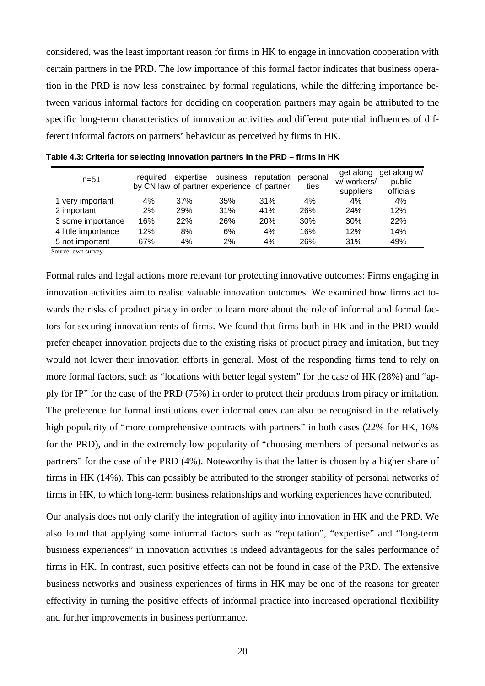considered, was the least important reason for firms in HK to engage in innovation cooperation with certain partners in the PRD. The low importance of this formal factor indicates that business operation in the PRD is now less constrained by formal regulations, while the differing importance between various informal factors for deciding on cooperation partners may again be attributed to the specific long-term characteristics of innovation activities and different potential influences of different informal factors on partners' behaviour as perceived by firms in HK.

| $n = 51$            | required |     | expertise business reputation<br>by CN law of partner experience of partner |            | personal<br>ties | get along<br>w/workers/<br>suppliers | get along w/<br>public<br>officials |
|---------------------|----------|-----|-----------------------------------------------------------------------------|------------|------------------|--------------------------------------|-------------------------------------|
| 1 very important    | 4%       | 37% | 35%                                                                         | 31%        | 4%               | 4%                                   | 4%                                  |
| 2 important         | 2%       | 29% | 31%                                                                         | 41%        | <b>26%</b>       | <b>24%</b>                           | 12%                                 |
| 3 some importance   | 16%      | 22% | 26%                                                                         | <b>20%</b> | 30%              | 30%                                  | 22%                                 |
| 4 little importance | 12%      | 8%  | 6%                                                                          | 4%         | 16%              | 12%                                  | 14%                                 |
| 5 not important     | 67%      | 4%  | 2%                                                                          | 4%         | 26%              | 31%                                  | 49%                                 |

**Table 4.3: Criteria for selecting innovation partners in the PRD – firms in HK** 

Source: own survey

Formal rules and legal actions more relevant for protecting innovative outcomes: Firms engaging in innovation activities aim to realise valuable innovation outcomes. We examined how firms act towards the risks of product piracy in order to learn more about the role of informal and formal factors for securing innovation rents of firms. We found that firms both in HK and in the PRD would prefer cheaper innovation projects due to the existing risks of product piracy and imitation, but they would not lower their innovation efforts in general. Most of the responding firms tend to rely on more formal factors, such as "locations with better legal system" for the case of HK (28%) and "apply for IP" for the case of the PRD (75%) in order to protect their products from piracy or imitation. The preference for formal institutions over informal ones can also be recognised in the relatively high popularity of "more comprehensive contracts with partners" in both cases (22% for HK, 16%) for the PRD), and in the extremely low popularity of "choosing members of personal networks as partners" for the case of the PRD (4%). Noteworthy is that the latter is chosen by a higher share of firms in HK (14%). This can possibly be attributed to the stronger stability of personal networks of firms in HK, to which long-term business relationships and working experiences have contributed.

Our analysis does not only clarify the integration of agility into innovation in HK and the PRD. We also found that applying some informal factors such as "reputation", "expertise" and "long-term business experiences" in innovation activities is indeed advantageous for the sales performance of firms in HK. In contrast, such positive effects can not be found in case of the PRD. The extensive business networks and business experiences of firms in HK may be one of the reasons for greater effectivity in turning the positive effects of informal practice into increased operational flexibility and further improvements in business performance.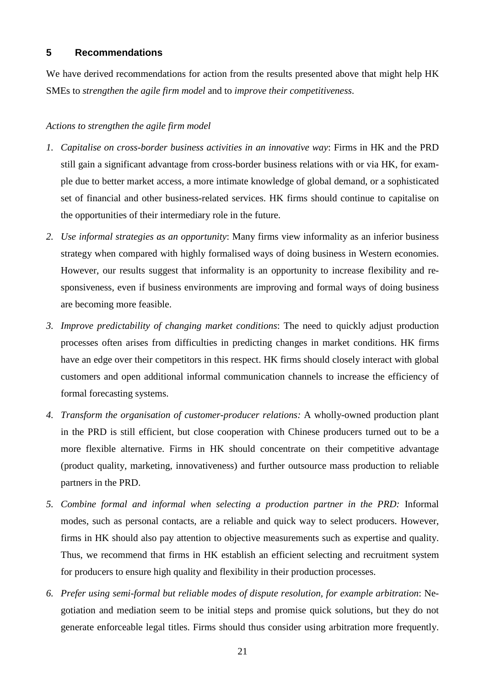### **5 Recommendations**

We have derived recommendations for action from the results presented above that might help HK SMEs to *strengthen the agile firm model* and to *improve their competitiveness*.

#### *Actions to strengthen the agile firm model*

- *1. Capitalise on cross-border business activities in an innovative way*: Firms in HK and the PRD still gain a significant advantage from cross-border business relations with or via HK, for example due to better market access, a more intimate knowledge of global demand, or a sophisticated set of financial and other business-related services. HK firms should continue to capitalise on the opportunities of their intermediary role in the future.
- *2. Use informal strategies as an opportunity*: Many firms view informality as an inferior business strategy when compared with highly formalised ways of doing business in Western economies. However, our results suggest that informality is an opportunity to increase flexibility and responsiveness, even if business environments are improving and formal ways of doing business are becoming more feasible.
- *3. Improve predictability of changing market conditions*: The need to quickly adjust production processes often arises from difficulties in predicting changes in market conditions. HK firms have an edge over their competitors in this respect. HK firms should closely interact with global customers and open additional informal communication channels to increase the efficiency of formal forecasting systems.
- *4. Transform the organisation of customer-producer relations:* A wholly-owned production plant in the PRD is still efficient, but close cooperation with Chinese producers turned out to be a more flexible alternative. Firms in HK should concentrate on their competitive advantage (product quality, marketing, innovativeness) and further outsource mass production to reliable partners in the PRD.
- *5. Combine formal and informal when selecting a production partner in the PRD:* Informal modes, such as personal contacts, are a reliable and quick way to select producers. However, firms in HK should also pay attention to objective measurements such as expertise and quality. Thus, we recommend that firms in HK establish an efficient selecting and recruitment system for producers to ensure high quality and flexibility in their production processes.
- *6. Prefer using semi-formal but reliable modes of dispute resolution, for example arbitration*: Negotiation and mediation seem to be initial steps and promise quick solutions, but they do not generate enforceable legal titles. Firms should thus consider using arbitration more frequently.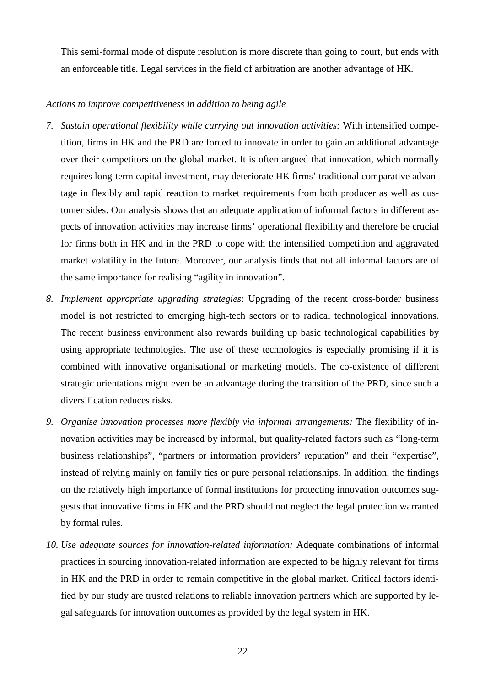This semi-formal mode of dispute resolution is more discrete than going to court, but ends with an enforceable title. Legal services in the field of arbitration are another advantage of HK.

#### *Actions to improve competitiveness in addition to being agile*

- *7. Sustain operational flexibility while carrying out innovation activities:* With intensified competition, firms in HK and the PRD are forced to innovate in order to gain an additional advantage over their competitors on the global market. It is often argued that innovation, which normally requires long-term capital investment, may deteriorate HK firms' traditional comparative advantage in flexibly and rapid reaction to market requirements from both producer as well as customer sides. Our analysis shows that an adequate application of informal factors in different aspects of innovation activities may increase firms' operational flexibility and therefore be crucial for firms both in HK and in the PRD to cope with the intensified competition and aggravated market volatility in the future. Moreover, our analysis finds that not all informal factors are of the same importance for realising "agility in innovation".
- *8. Implement appropriate upgrading strategies*: Upgrading of the recent cross-border business model is not restricted to emerging high-tech sectors or to radical technological innovations. The recent business environment also rewards building up basic technological capabilities by using appropriate technologies. The use of these technologies is especially promising if it is combined with innovative organisational or marketing models. The co-existence of different strategic orientations might even be an advantage during the transition of the PRD, since such a diversification reduces risks.
- *9. Organise innovation processes more flexibly via informal arrangements:* The flexibility of innovation activities may be increased by informal, but quality-related factors such as "long-term business relationships", "partners or information providers' reputation" and their "expertise", instead of relying mainly on family ties or pure personal relationships. In addition, the findings on the relatively high importance of formal institutions for protecting innovation outcomes suggests that innovative firms in HK and the PRD should not neglect the legal protection warranted by formal rules.
- *10. Use adequate sources for innovation-related information:* Adequate combinations of informal practices in sourcing innovation-related information are expected to be highly relevant for firms in HK and the PRD in order to remain competitive in the global market. Critical factors identified by our study are trusted relations to reliable innovation partners which are supported by legal safeguards for innovation outcomes as provided by the legal system in HK.